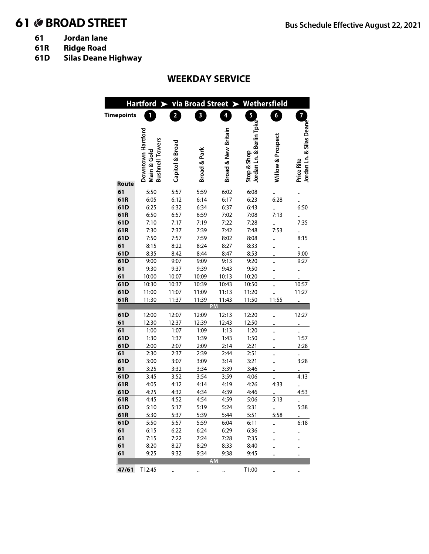# 61 **BROAD STREET Bus Schedule Effective August 22, 2021**

- 
- **61 Jordan lane 61R Ridge Road**
- **61D Silas Deane Highway**

## **WEEKDAY SERVICE**

|                   | <b>Hartford</b><br>$\blacktriangleright$ |                         |                         |                                | via Broad Street > Wethersfield |                   |                          |
|-------------------|------------------------------------------|-------------------------|-------------------------|--------------------------------|---------------------------------|-------------------|--------------------------|
| <b>Timepoints</b> | 1                                        | $\overline{\mathbf{2}}$ | $\overline{\mathbf{3}}$ | 4                              | $\overline{5}$                  | $\boldsymbol{6}$  | $\overline{7}$           |
|                   |                                          |                         |                         |                                |                                 |                   |                          |
|                   |                                          |                         |                         |                                | Jordan Ln. & Berlin Tpke        |                   | Jordan Ln. & Silas Deane |
|                   | Downtown Hartford                        |                         |                         | <b>Broad &amp; New Britain</b> |                                 | Willow & Prospect |                          |
|                   | <b>Bushnell Towers</b>                   | Capitol & Broad         |                         |                                |                                 |                   |                          |
|                   |                                          |                         |                         |                                |                                 |                   |                          |
|                   |                                          |                         |                         |                                |                                 |                   |                          |
|                   | Main & Gold                              |                         | Broad & Park            |                                | Stop & Shop                     |                   | Price Rite               |
| Route             |                                          |                         |                         |                                |                                 |                   |                          |
| 61                | 5:50                                     | 5:57                    | 5:59                    | 6:02                           | 6:08                            |                   |                          |
| 61R               | 6:05                                     | 6:12                    | 6:14                    | 6:17                           | 6:23                            | 6:28              |                          |
| 61D               | 6:25                                     | 6:32                    | 6:34                    | 6:37                           | 6:43                            |                   | 6:50                     |
| 61R               | 6:50                                     | 6:57                    | 6:59                    | 7:02                           | 7:08                            | 7:13              |                          |
| 61D               | 7:10                                     | 7:17                    | 7:19                    | 7:22                           | 7:28                            |                   | 7:35                     |
| 61R               | 7:30                                     | 7:37                    | 7:39                    | 7:42                           | 7:48                            | 7:53              |                          |
| 61D               | 7:50                                     | 7:57                    | 7:59                    | 8:02                           | 8:08                            |                   | 8:15                     |
| 61                | 8:15                                     | 8:22                    | 8:24                    | 8:27                           | 8:33                            |                   |                          |
| 61D               | 8:35                                     | 8:42                    | 8:44                    | 8:47                           | 8:53                            |                   | 9:00                     |
| 61D               | 9:00                                     | 9:07                    | 9:09                    | 9:13                           | 9:20                            |                   | 9:27                     |
| 61                | 9:30                                     | 9:37                    | 9:39                    | 9:43                           | 9:50                            |                   |                          |
| 61                | 10:00                                    | 10:07                   | 10:09                   | 10:13                          | 10:20                           |                   |                          |
| 61D               | 10:30                                    | 10:37                   | 10:39                   | 10:43                          | 10:50                           |                   | 10:57                    |
| 61D               | 11:00                                    | 11:07                   | 11:09                   | 11:13                          | 11:20                           |                   | 11:27                    |
| 61R               | 11:30                                    | 11:37                   | 11:39                   | 11:43<br>PM                    | 11:50                           | 11:55             |                          |
|                   |                                          |                         |                         |                                |                                 |                   |                          |
| 61D<br>61         | 12:00<br>12:30                           | 12:07<br>12:37          | 12:09<br>12:39          | 12:13<br>12:43                 | 12:20<br>12:50                  |                   | 12:27                    |
| 61                | 1:00                                     | 1:07                    | 1:09                    | 1:13                           | 1:20                            |                   |                          |
| 61D               | 1:30                                     | 1:37                    | 1:39                    | 1:43                           | 1:50                            |                   | 1:57                     |
| 61D               | 2:00                                     | 2:07                    | 2:09                    | 2:14                           | 2:21                            |                   | 2:28                     |
| 61                | 2:30                                     | 2:37                    | 2:39                    | 2:44                           | 2:51                            |                   |                          |
| 61D               | 3:00                                     | 3:07                    | 3:09                    | 3:14                           | 3:21                            |                   | 3:28                     |
| 61                | 3:25                                     | 3:32                    | 3:34                    | 3:39                           | 3:46                            |                   |                          |
| 61D               | 3:45                                     | 3:52                    | 3:54                    | 3:59                           | 4:06                            |                   | 4:13                     |
| 61R               | 4:05                                     | 4:12                    | 4:14                    | 4:19                           | 4:26                            | 4:33              |                          |
| 61D               | 4:25                                     | 4:32                    | 4:34                    | 4:39                           | 4:46                            |                   | 4:53                     |
| 61R               | 4:45                                     | 4:52                    | 4:54                    | 4:59                           | 5:06                            | 5:13              |                          |
| 61D               | 5:10                                     | 5:17                    | 5:19                    | 5:24                           | 5:31                            |                   | 5:38                     |
| 61R               | 5:30                                     | 5:37                    | 5:39                    | 5:44                           | 5:51                            | 5:58              | $\ddotsc$                |
| 61D               | 5:50                                     | 5:57                    | 5:59                    | 6:04                           | 6:11                            |                   | 6:18                     |
| 61                | 6:15                                     | 6:22                    | 6:24                    | 6:29                           | 6:36                            |                   |                          |
| 61                | 7:15                                     | 7:22                    | 7:24                    | 7:28                           | 7:35                            |                   |                          |
| 61                | 8:20                                     | 8:27                    | 8:29                    | 8:33                           | 8:40                            |                   |                          |
| 61                | 9:25                                     | 9:32                    | 9:34                    | 9:38<br><b>AM</b>              | 9:45                            |                   |                          |
|                   |                                          |                         |                         |                                |                                 |                   |                          |
| 47/61             | T12:45                                   |                         |                         |                                | T1:00                           |                   |                          |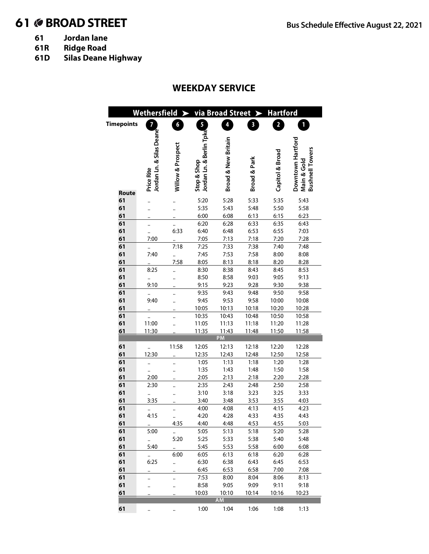# **BROAD STREET Bus Schedule Effective August 22, 2021**

- **61 Jordan lane**
- **61R Ridge Road**
- **61D Silas Deane Highway**

### **WEEKDAY SERVICE**

|                   |                              | Wethersfield $\blacktriangleright$ |                          | via Broad Street >             |                         | <b>Hartford</b>         |                        |
|-------------------|------------------------------|------------------------------------|--------------------------|--------------------------------|-------------------------|-------------------------|------------------------|
| <b>Timepoints</b> | $\overline{7}$               | 6                                  | $\overline{\mathbf{5}}$  | 4                              | $\overline{\mathbf{3}}$ | $\overline{\mathbf{2}}$ | 1                      |
|                   |                              |                                    |                          |                                |                         |                         |                        |
|                   | Jordan Ln. & Silas Deane     |                                    | Jordan Ln. & Berlin Tpke | <b>Broad &amp; New Britain</b> |                         |                         | Downtown Hartford      |
|                   |                              | Willow & Prospect                  |                          |                                |                         | Capitol & Broad         | <b>Bushnell Towers</b> |
|                   |                              |                                    |                          |                                | Broad & Park            |                         | Main & Gold            |
|                   | Price Rite                   |                                    | Stop & Shop              |                                |                         |                         |                        |
|                   |                              |                                    |                          |                                |                         |                         |                        |
| Route             |                              |                                    |                          |                                |                         |                         |                        |
| 61                |                              |                                    | 5:20                     | 5:28                           | 5:33                    | 5:35                    | 5:43                   |
| 61                |                              |                                    | 5:35                     | 5:43                           | 5:48                    | 5:50                    | 5:58                   |
| 61                |                              |                                    | 6:00                     | 6:08                           | 6:13                    | 6:15                    | 6:23                   |
| 61                |                              |                                    | 6:20                     | 6:28                           | 6:33                    | 6:35                    | 6:43                   |
| 61                |                              | 6:33                               | 6:40                     | 6:48                           | 6:53                    | 6:55                    | 7:03                   |
| 61                | 7:00                         |                                    | 7:05                     | 7:13                           | 7:18                    | 7:20                    | 7:28                   |
| 61                |                              | 7:18                               | 7:25                     | 7:33                           | 7:38                    | 7:40                    | 7:48                   |
| 61                | 7:40                         |                                    | 7:45                     | 7:53                           | 7:58                    | 8:00                    | 8:08                   |
| 61                |                              | 7:58                               | 8:05                     | 8:13                           | 8:18                    | 8:20                    | 8:28                   |
| 61                | 8:25                         |                                    | 8:30                     | 8:38                           | 8:43                    | 8:45                    | 8:53                   |
| 61                |                              |                                    | 8:50                     | 8:58                           | 9:03                    | 9:05                    | 9:13                   |
| 61                | 9:10                         |                                    | 9:15                     | 9:23                           | 9:28                    | 9:30                    | 9:38                   |
| 61                |                              |                                    | 9:35                     | 9:43                           | 9:48                    | 9:50                    | 9:58                   |
| 61                | 9:40                         |                                    | 9:45                     | 9:53                           | 9:58                    | 10:00                   | 10:08                  |
| 61                |                              |                                    | 10:05                    | 10:13                          | 10:18                   | 10:20                   | 10:28                  |
| 61                |                              |                                    | 10:35                    | 10:43                          | 10:48                   | 10:50                   | 10:58                  |
| 61                | 11:00                        |                                    | 11:05                    | 11:13                          | 11:18                   | 11:20                   | 11:28                  |
| 61                | 11:30                        |                                    | 11:35                    | 11:43                          | 11:48                   | 11:50                   | 11:58                  |
|                   |                              |                                    |                          | PM                             |                         |                         |                        |
| 61                |                              | 11:58                              | 12:05                    | 12:13                          | 12:18                   | 12:20                   | 12:28                  |
| 61<br>61          | 12:30                        |                                    | 12:35<br>1:05            | 12:43<br>1:13                  | 12:48                   | 12:50                   | 12:58                  |
| 61                |                              |                                    | 1:35                     | 1:43                           | 1:18                    | 1:20<br>1:50            | 1:28<br>1:58           |
| 61                | 2:00                         |                                    | 2:05                     | 2:13                           | 1:48<br>2:18            | 2:20                    | 2:28                   |
| 61                | 2:30                         |                                    | 2:35                     | 2:43                           | 2:48                    | 2:50                    | 2:58                   |
| 61                |                              |                                    | 3:10                     | 3:18                           | 3:23                    | 3:25                    | 3:33                   |
| 61                | $\ddot{\phantom{0}}$<br>3:35 |                                    | 3:40                     | 3:48                           | 3:53                    | 3:55                    | 4:03                   |
| 61                |                              |                                    | 4:00                     | 4:08                           | 4:13                    | 4:15                    | 4:23                   |
| 61                | 4:15                         |                                    | 4:20                     | 4:28                           | 4:33                    | 4:35                    | 4:43                   |
| 61                | $\cdot$                      | 4:35                               | 4:40                     | 4:48                           | 4:53                    | 4:55                    | 5:03                   |
| 61                | 5:00                         | $\ddotsc$                          | 5:05                     | 5:13                           | 5:18                    | 5:20                    | 5:28                   |
| 61                |                              | 5:20                               | 5:25                     | 5:33                           | 5:38                    | 5:40                    | 5:48                   |
| 61                | 5:40                         |                                    | 5:45                     | 5:53                           | 5:58                    | 6:00                    | 6:08                   |
| 61                |                              | 6:00                               | 6:05                     | 6:13                           | 6:18                    | 6:20                    | 6:28                   |
| 61                | 6:25                         |                                    | 6:30                     | 6:38                           | 6:43                    | 6:45                    | 6:53                   |
| 61                |                              |                                    | 6:45                     | 6:53                           | 6:58                    | 7:00                    | 7:08                   |
| 61                |                              |                                    | 7:53                     | 8:00                           | 8:04                    | 8:06                    | 8:13                   |
| 61                |                              |                                    | 8:58                     | 9:05                           | 9:09                    | 9:11                    | 9:18                   |
| 61                |                              |                                    | 10:03                    | 10:10                          | 10:14                   | 10:16                   | 10:23                  |
|                   |                              |                                    |                          | <b>AM</b>                      |                         |                         |                        |
| 61                |                              |                                    | 1:00                     | 1:04                           | 1:06                    | 1:08                    | 1:13                   |